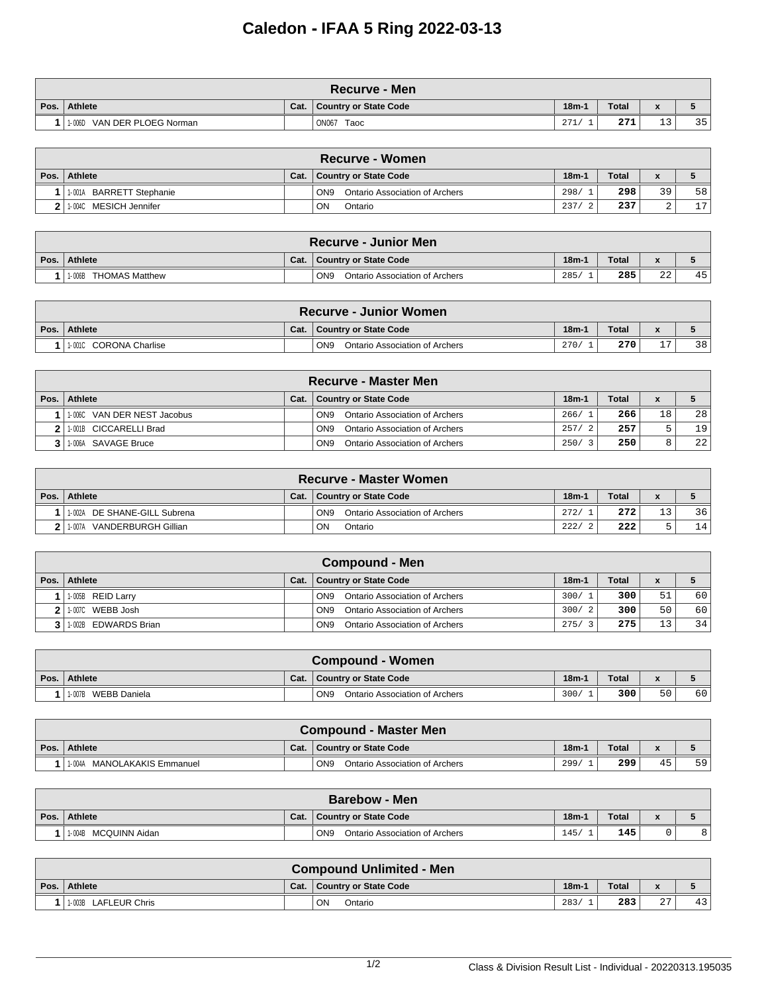## **Caledon - IFAA 5 Ring 2022-03-13**

|      | ∖Recurve - Men              |      |                       |               |              |                              |    |  |  |  |  |
|------|-----------------------------|------|-----------------------|---------------|--------------|------------------------------|----|--|--|--|--|
| Pos. | Athlete                     | Cat. | Country or State Code | $18m-1$       | <b>Total</b> | $\mathbf{r}$<br>$\mathbf{r}$ |    |  |  |  |  |
|      | 1-006D VAN DER PLOEG Norman |      | <b>ON067</b><br>Taoc  | 271<br>$41 +$ | 271          | <b>1</b> 2<br><u>ے ب</u>     | 35 |  |  |  |  |

| <b>Recurve - Women</b>    |      |                                                   |         |              |              |    |  |  |  |  |
|---------------------------|------|---------------------------------------------------|---------|--------------|--------------|----|--|--|--|--|
| Pos. Athlete              | Cat. | <b>Country or State Code</b>                      | $18m-1$ | <b>Total</b> | $\mathbf{r}$ |    |  |  |  |  |
| 1-001A BARRETT Stephanie  |      | ON <sub>9</sub><br>Ontario Association of Archers | 298/    | 298          | 39           | 58 |  |  |  |  |
| MESICH Jennifer<br>1-004C |      | ON<br>Ontario                                     | 237/    | 237          | ▵            | 17 |  |  |  |  |

| <b>Recurve - Junior Men</b> |      |                                                   |         |              |              |    |  |  |  |  |
|-----------------------------|------|---------------------------------------------------|---------|--------------|--------------|----|--|--|--|--|
| Pos. Athlete                | Cat. | Country or State Code                             | $18m-1$ | <b>Total</b> | $\bullet$    |    |  |  |  |  |
| THOMAS Matthew<br>1-006B    |      | ON <sub>9</sub><br>Ontario Association of Archers | 285/    | 285          | $\cap$<br>∠∠ | 45 |  |  |  |  |

| <b>Recurve - Junior Women</b> |      |                                                   |         |       |           |    |  |  |  |  |
|-------------------------------|------|---------------------------------------------------|---------|-------|-----------|----|--|--|--|--|
| Pos. Athlete                  | Cat. | <b>Country or State Code</b>                      | $18m-1$ | Total |           |    |  |  |  |  |
| 10010 CORONA Charlise         |      | ON <sub>9</sub><br>Ontario Association of Archers | 270/    | 270   | <b>__</b> | 38 |  |  |  |  |

| <b>Recurve - Master Men</b>  |      |                                                   |         |              |    |    |  |  |  |  |
|------------------------------|------|---------------------------------------------------|---------|--------------|----|----|--|--|--|--|
| Pos.   Athlete               | Cat. | Country or State Code                             | $18m-1$ | <b>Total</b> |    |    |  |  |  |  |
| 11-006C VAN DER NEST Jacobus |      | ON <sub>9</sub><br>Ontario Association of Archers | 266/1   | 266          | 18 | 28 |  |  |  |  |
| 2 1 1 001B CICCARELLI Brad   |      | Ontario Association of Archers<br>ON <sub>9</sub> | 257/    | 257          | ᄃ  | 19 |  |  |  |  |
| 3 1:006A SAVAGE Bruce        |      | Ontario Association of Archers<br>ON <sub>9</sub> | 250/3   | 250          | 8  | 22 |  |  |  |  |

|      | <b>Recurve - Master Women</b>  |      |                                                          |         |       |           |    |  |  |  |  |
|------|--------------------------------|------|----------------------------------------------------------|---------|-------|-----------|----|--|--|--|--|
| Pos. | Athlete                        | Cat. | <b>Country or State Code</b>                             | $18m-1$ | Total | $\bullet$ |    |  |  |  |  |
|      | 1-002A DE SHANE-GILL Subrena   |      | ON <sub>9</sub><br><b>Ontario Association of Archers</b> | 272/    | 272   | 1 2       | 36 |  |  |  |  |
|      | VANDERBURGH Gillian<br>11-007A |      | <b>ON</b><br>Ontario                                     | 222/    | 222   |           | 14 |  |  |  |  |

|      | <b>Compound - Men</b> |      |                                                          |         |              |    |    |  |  |  |  |  |
|------|-----------------------|------|----------------------------------------------------------|---------|--------------|----|----|--|--|--|--|--|
| Pos. | Athlete               | Cat. | <b>Country or State Code</b>                             | $18m-1$ | <b>Total</b> |    |    |  |  |  |  |  |
|      | 1-005B REID Larry     |      | Ontario Association of Archers<br>ON <sub>9</sub>        | 300/1   | 300          | 51 | 60 |  |  |  |  |  |
|      | 11-007C WEBB Josh     |      | Ontario Association of Archers<br>ON <sub>9</sub>        | 300/2   | 300          | 50 | 60 |  |  |  |  |  |
|      | 1-002B EDWARDS Brian  |      | <b>Ontario Association of Archers</b><br>ON <sub>9</sub> | 275/    | 275          | 13 | 34 |  |  |  |  |  |

| <b>Compound - Women</b> |      |                                                   |         |              |           |    |  |  |  |
|-------------------------|------|---------------------------------------------------|---------|--------------|-----------|----|--|--|--|
| Pos.   Athlete          | Cat. | Country or State Code                             | $18m-1$ | <b>Total</b> | $\bullet$ |    |  |  |  |
| WEBB Daniela<br>1-007B  |      | ON <sub>9</sub><br>Ontario Association of Archers | 300/    | 300          | 50        | 60 |  |  |  |

|      | Compound - Master Men          |      |                                                   |         |              |           |    |  |  |  |  |
|------|--------------------------------|------|---------------------------------------------------|---------|--------------|-----------|----|--|--|--|--|
| Pos. | Athlete                        | Cat. | Country or State Code                             | $18m-1$ | <b>Total</b> | $\bullet$ |    |  |  |  |  |
|      | MANOLAKAKIS Emmanuel<br>1-004A |      | ON <sub>9</sub><br>Ontario Association of Archers | 299/    | 299          | 45        | 59 |  |  |  |  |

|      | <b>Barebow - Men</b>    |      |                                                   |         |              |  |   |  |  |  |  |
|------|-------------------------|------|---------------------------------------------------|---------|--------------|--|---|--|--|--|--|
| Pos. | Athlete                 | Cat. | Country or State Code                             | $18m-1$ | <b>Total</b> |  |   |  |  |  |  |
|      | MCQUINN Aidan<br>1-004B |      | ON <sub>9</sub><br>Ontario Association of Archers | 145     | 145          |  | 8 |  |  |  |  |

| <b>Compound Unlimited - Men</b> |      |                       |         |              |                           |    |  |  |  |
|---------------------------------|------|-----------------------|---------|--------------|---------------------------|----|--|--|--|
| Pos. Athlete                    | Cat. | Country or State Code | $18m-1$ | <b>Total</b> | $\bullet$<br>$\mathbf{r}$ |    |  |  |  |
| 1-003B LAFLEUR Chris            |      | ON<br>Ontario         | 283/    | 283          | $\sim$<br>47              | 43 |  |  |  |